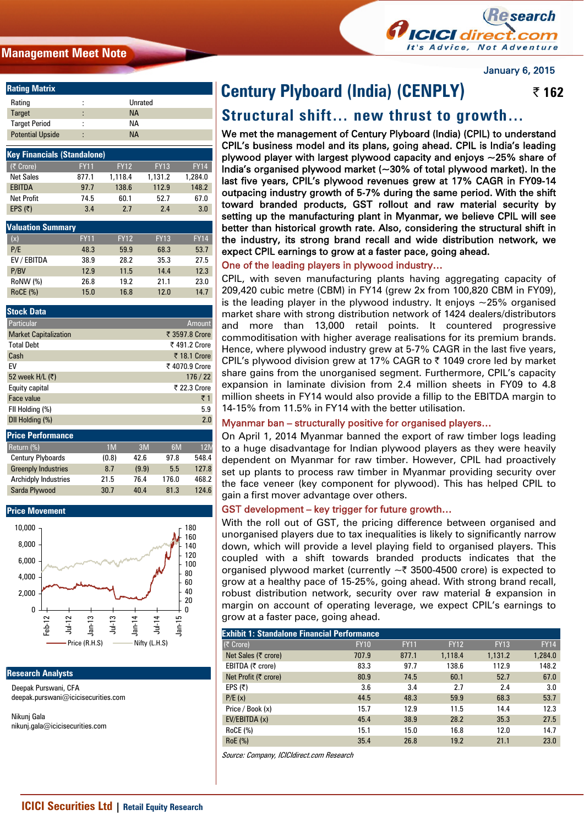## **Management Meet Note**



January 6, 2015

| <b>Rating Matrix</b>    |        |           |  |
|-------------------------|--------|-----------|--|
| Rating                  | ٠<br>٠ | Unrated   |  |
| <b>Target</b>           | ٠<br>۰ | <b>NA</b> |  |
| <b>Target Period</b>    | ٠<br>٠ | NА        |  |
| <b>Potential Upside</b> | ٠<br>٠ | NА        |  |

| <b>Key Financials (Standalone)</b> |                          |             |             |             |  |  |  |
|------------------------------------|--------------------------|-------------|-------------|-------------|--|--|--|
| (₹ Crore)                          | <b>FY11</b>              | <b>FY12</b> | <b>FY13</b> | <b>FY14</b> |  |  |  |
| <b>Net Sales</b>                   | 877.1                    | 1,118.4     | 1,131.2     | 1.284.0     |  |  |  |
| <b>EBITDA</b>                      | 97.7                     | 138.6       | 112.9       | 148.2       |  |  |  |
| <b>Net Profit</b>                  | 74.5                     | 60.1        | 52.7        | 67.0        |  |  |  |
| EPS $(5)$                          | 3.4                      | 2.7         | 2.4         | 3.0         |  |  |  |
|                                    |                          |             |             |             |  |  |  |
|                                    | <b>Valuation Summary</b> |             |             |             |  |  |  |
| (x)                                | <b>FY11</b>              | <b>FY12</b> | <b>FY13</b> | <b>FY14</b> |  |  |  |
| P/E                                | 48.3                     | 59.9        | 68.3        | 53.7        |  |  |  |
| EV / EBITDA                        | 38.9                     | 28.2        | 35.3        | 27.5        |  |  |  |
| P/BV                               | 12.9                     | 11.5        | 14.4        | 12.3        |  |  |  |
| RoNW (%)                           | 26.8                     | 19.2        | 21.1        | 23.0        |  |  |  |
| <b>RoCE (%)</b>                    | 15.0                     | 16.8        | 12.0        | 14.7        |  |  |  |

| <b>Stock Data</b>            |                |
|------------------------------|----------------|
| Particular                   | <b>Amount</b>  |
| <b>Market Capitalization</b> | ₹ 3597.8 Crore |
| <b>Total Debt</b>            | ₹491.2 Crore   |
| Cash                         | ₹ 18.1 Crore   |
| EV                           | ₹4070.9 Crore  |
| 52 week H/L (₹)              | 176/22         |
| Equity capital               | ₹ 22.3 Crore   |
| Face value                   | ₹1             |
| FII Holding (%)              | 5.9            |
| DII Holding (%)              | 2.0            |

| <b>Price Performance</b>    |                |       |       |            |
|-----------------------------|----------------|-------|-------|------------|
| Return (%)                  | 1 <sub>M</sub> | 3M    | 6M    | <b>12M</b> |
| <b>Century Plyboards</b>    | (0.8)          | 42.6  | 97.8  | 548.4      |
| <b>Greenply Industries</b>  | 8.7            | (9.9) | 5.5   | 127.8      |
| <b>Archidply Industries</b> | 21.5           | 76.4  | 176.0 | 468.2      |
| Sarda Plywood               | 30.7           | 40.4  | 81.3  | 124.6      |



#### **Research Analysts**

Deepak Purswani, CFA deepak.purswani@icicisecurities.com

Nikunj Gala nikunj.gala@icicisecurities.com

## ſ **Century Plyboard (India) (CENPLY) | 162**

# **Structural shift… new thrust to growth…**

We met the management of Century Plyboard (India) (CPIL) to understand CPIL's business model and its plans, going ahead. CPIL is India's leading plywood player with largest plywood capacity and enjoys  $\sim$ 25% share of India's organised plywood market (~30% of total plywood market). In the last five years, CPIL's plywood revenues grew at 17% CAGR in FY09-14 outpacing industry growth of 5-7% during the same period. With the shift toward branded products, GST rollout and raw material security by setting up the manufacturing plant in Myanmar, we believe CPIL will see better than historical growth rate. Also, considering the structural shift in the industry, its strong brand recall and wide distribution network, we expect CPIL earnings to grow at a faster pace, going ahead.

## One of the leading players in plywood industry…

CPIL, with seven manufacturing plants having aggregating capacity of 209,420 cubic metre (CBM) in FY14 (grew 2x from 100,820 CBM in FY09), is the leading player in the plywood industry. It enjoys  $\sim$ 25% organised market share with strong distribution network of 1424 dealers/distributors and more than 13,000 retail points. It countered progressive commoditisation with higher average realisations for its premium brands. Hence, where plywood industry grew at 5-7% CAGR in the last five years, CPIL's plywood division grew at 17% CAGR to  $\bar{\tau}$  1049 crore led by market share gains from the unorganised segment. Furthermore, CPIL's capacity expansion in laminate division from 2.4 million sheets in FY09 to 4.8 million sheets in FY14 would also provide a fillip to the EBITDA margin to 14-15% from 11.5% in FY14 with the better utilisation.

## Myanmar ban – structurally positive for organised players…

On April 1, 2014 Myanmar banned the export of raw timber logs leading to a huge disadvantage for Indian plywood players as they were heavily dependent on Myanmar for raw timber. However, CPIL had proactively set up plants to process raw timber in Myanmar providing security over the face veneer (key component for plywood). This has helped CPIL to gain a first mover advantage over others.

## GST development – key trigger for future growth…

With the roll out of GST, the pricing difference between organised and unorganised players due to tax inequalities is likely to significantly narrow down, which will provide a level playing field to organised players. This coupled with a shift towards branded products indicates that the organised plywood market (currently  $\sim$  3500-4500 crore) is expected to grow at a healthy pace of 15-25%, going ahead. With strong brand recall, robust distribution network, security over raw material & expansion in margin on account of operating leverage, we expect CPIL's earnings to grow at a faster pace, going ahead.

#### **Exhibit 1: Standalone Financial Performance**

| LAIIIDIL I. JUANUAIVIIG I MANUAI FENDIMANUG |             |             |             |             |             |
|---------------------------------------------|-------------|-------------|-------------|-------------|-------------|
| (₹ Crore)                                   | <b>FY10</b> | <b>FY11</b> | <b>FY12</b> | <b>FY13</b> | <b>FY14</b> |
| Net Sales (₹ crore)                         | 707.9       | 877.1       | 1,118.4     | 1,131.2     | 1,284.0     |
| EBITDA (₹ crore)                            | 83.3        | 97.7        | 138.6       | 112.9       | 148.2       |
| Net Profit (₹ crore)                        | 80.9        | 74.5        | 60.1        | 52.7        | 67.0        |
| EPS $(5)$                                   | 3.6         | 3.4         | 2.7         | 2.4         | 3.0         |
| P/E(x)                                      | 44.5        | 48.3        | 59.9        | 68.3        | 53.7        |
| Price / Book (x)                            | 15.7        | 12.9        | 11.5        | 14.4        | 12.3        |
| EV/EBITDA (x)                               | 45.4        | 38.9        | 28.2        | 35.3        | 27.5        |
| <b>RoCE (%)</b>                             | 15.1        | 15.0        | 16.8        | 12.0        | 14.7        |
| RoE (%)                                     | 35.4        | 26.8        | 19.2        | 21.1        | 23.0        |

Source: Company, ICICIdirect.com Research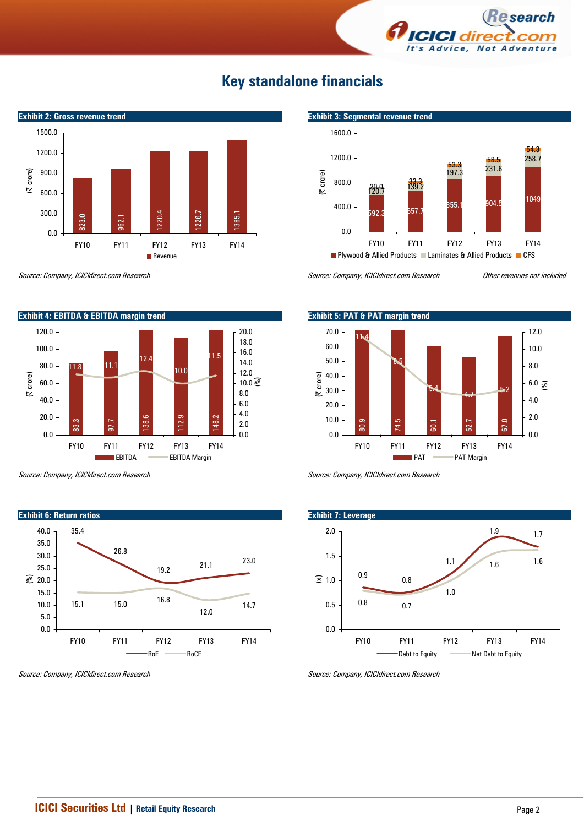

855.1 904.5

FY10 FY11 FY12 FY13 FY14

**Plywood & Allied Products Laminates & Allied Products CFS** 

53.3<br>197.3 231.6





Source: Company, ICICIdirect.com Research



EBITDA EBITDA Margin

Source: Company, ICICIdirect.com Research **Other revenues not included** 

 $726.7$ 

0.0

400.0

800.0

(| crore)

1200.0

1600.0

 $592.3$  657.

 $139.2$ 

**Exhibit 3: Segmental revenue trend** 

258.7

1049

54.3





Source: Company, ICICIdirect.com Research



Source: Company, ICICIdirect.com Research

Source: Company, ICICIdirect.com Research



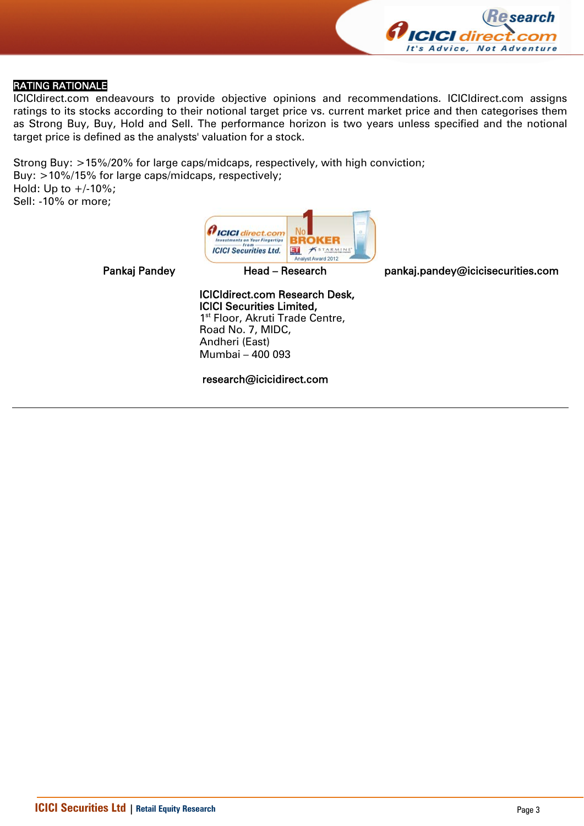

# RATING RATIONALE

ICICIdirect.com endeavours to provide objective opinions and recommendations. ICICIdirect.com assigns ratings to its stocks according to their notional target price vs. current market price and then categorises them as Strong Buy, Buy, Hold and Sell. The performance horizon is two years unless specified and the notional target price is defined as the analysts' valuation for a stock.

Strong Buy: >15%/20% for large caps/midcaps, respectively, with high conviction; Buy: >10%/15% for large caps/midcaps, respectively; Hold: Up to  $+/10%$ ; Sell: -10% or more;



Pankaj Pandey **Head – Research head pankaj.pandey@icicisecurities.com** 

## ICICIdirect.com Research Desk, ICICI Securities Limited, 1<sup>st</sup> Floor, Akruti Trade Centre, Road No. 7, MIDC,

Andheri (East) Mumbai – 400 093

research@icicidirect.com